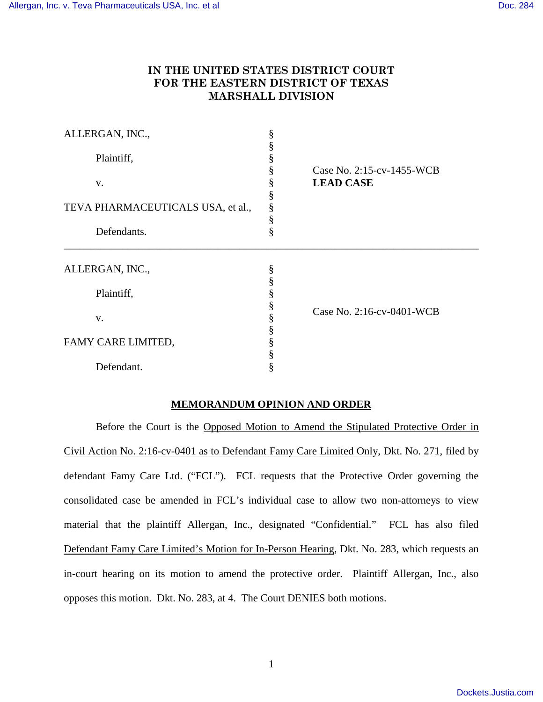# **IN THE UNITED STATES DISTRICT COURT FOR THE EASTERN DISTRICT OF TEXAS MARSHALL DIVISION**

| ALLERGAN, INC.,                   | §      |                                               |
|-----------------------------------|--------|-----------------------------------------------|
| Plaintiff,                        |        |                                               |
| V.                                | §      | Case No. 2:15-cv-1455-WCB<br><b>LEAD CASE</b> |
|                                   | §      |                                               |
| TEVA PHARMACEUTICALS USA, et al., | ş<br>§ |                                               |
| Defendants.                       | §      |                                               |
| ALLERGAN, INC.,                   | ş      |                                               |
| Plaintiff,                        | §      | Case No. 2:16-cv-0401-WCB                     |
| V.                                | §<br>§ |                                               |
|                                   |        |                                               |
| FAMY CARE LIMITED,                | ş      |                                               |
| Defendant.                        |        |                                               |

## **MEMORANDUM OPINION AND ORDER**

Before the Court is the Opposed Motion to Amend the Stipulated Protective Order in Civil Action No. 2:16-cv-0401 as to Defendant Famy Care Limited Only, Dkt. No. 271, filed by defendant Famy Care Ltd. ("FCL"). FCL requests that the Protective Order governing the consolidated case be amended in FCL's individual case to allow two non-attorneys to view material that the plaintiff Allergan, Inc., designated "Confidential." FCL has also filed Defendant Famy Care Limited's Motion for In-Person Hearing, Dkt. No. 283, which requests an in-court hearing on its motion to amend the protective order. Plaintiff Allergan, Inc., also opposes this motion. Dkt. No. 283, at 4. The Court DENIES both motions.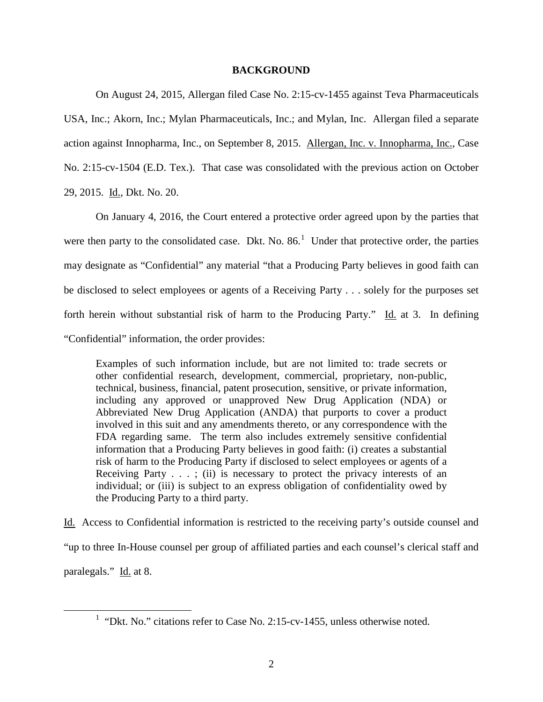## **BACKGROUND**

On August 24, 2015, Allergan filed Case No. 2:15-cv-1455 against Teva Pharmaceuticals USA, Inc.; Akorn, Inc.; Mylan Pharmaceuticals, Inc.; and Mylan, Inc. Allergan filed a separate action against Innopharma, Inc., on September 8, 2015. Allergan, Inc. v. Innopharma, Inc., Case No. 2:15-cv-1504 (E.D. Tex.). That case was consolidated with the previous action on October 29, 2015. Id., Dkt. No. 20.

On January 4, 2016, the Court entered a protective order agreed upon by the parties that were then party to the consolidated case. Dkt. No.  $86<sup>1</sup>$  $86<sup>1</sup>$  $86<sup>1</sup>$  Under that protective order, the parties may designate as "Confidential" any material "that a Producing Party believes in good faith can be disclosed to select employees or agents of a Receiving Party . . . solely for the purposes set forth herein without substantial risk of harm to the Producing Party." Id. at 3. In defining "Confidential" information, the order provides:

Examples of such information include, but are not limited to: trade secrets or other confidential research, development, commercial, proprietary, non-public, technical, business, financial, patent prosecution, sensitive, or private information, including any approved or unapproved New Drug Application (NDA) or Abbreviated New Drug Application (ANDA) that purports to cover a product involved in this suit and any amendments thereto, or any correspondence with the FDA regarding same. The term also includes extremely sensitive confidential information that a Producing Party believes in good faith: (i) creates a substantial risk of harm to the Producing Party if disclosed to select employees or agents of a Receiving Party  $\dots$ ; (ii) is necessary to protect the privacy interests of an individual; or (iii) is subject to an express obligation of confidentiality owed by the Producing Party to a third party.

Id. Access to Confidential information is restricted to the receiving party's outside counsel and "up to three In-House counsel per group of affiliated parties and each counsel's clerical staff and paralegals." Id. at 8.

<span id="page-1-0"></span> $\overline{a}$ 

<sup>&</sup>lt;sup>1</sup> "Dkt. No." citations refer to Case No. 2:15-cv-1455, unless otherwise noted.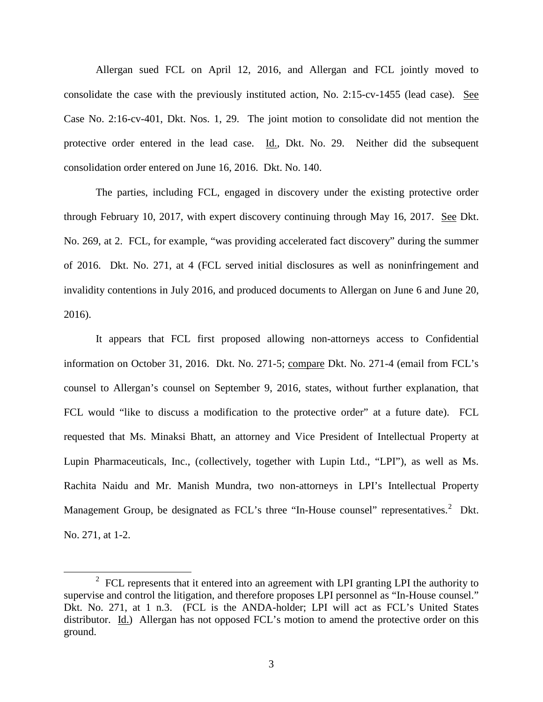Allergan sued FCL on April 12, 2016, and Allergan and FCL jointly moved to consolidate the case with the previously instituted action, No. 2:15-cv-1455 (lead case). See Case No. 2:16-cv-401, Dkt. Nos. 1, 29. The joint motion to consolidate did not mention the protective order entered in the lead case. Id., Dkt. No. 29. Neither did the subsequent consolidation order entered on June 16, 2016. Dkt. No. 140.

The parties, including FCL, engaged in discovery under the existing protective order through February 10, 2017, with expert discovery continuing through May 16, 2017. See Dkt. No. 269, at 2. FCL, for example, "was providing accelerated fact discovery" during the summer of 2016. Dkt. No. 271, at 4 (FCL served initial disclosures as well as noninfringement and invalidity contentions in July 2016, and produced documents to Allergan on June 6 and June 20, 2016).

It appears that FCL first proposed allowing non-attorneys access to Confidential information on October 31, 2016. Dkt. No. 271-5; compare Dkt. No. 271-4 (email from FCL's counsel to Allergan's counsel on September 9, 2016, states, without further explanation, that FCL would "like to discuss a modification to the protective order" at a future date). FCL requested that Ms. Minaksi Bhatt, an attorney and Vice President of Intellectual Property at Lupin Pharmaceuticals, Inc., (collectively, together with Lupin Ltd., "LPI"), as well as Ms. Rachita Naidu and Mr. Manish Mundra, two non-attorneys in LPI's Intellectual Property Management Group, be designated as FCL's three "In-House counsel" representatives.<sup>[2](#page-2-0)</sup> Dkt. No. 271, at 1-2.

 $\overline{a}$ 

<span id="page-2-0"></span><sup>&</sup>lt;sup>2</sup> FCL represents that it entered into an agreement with LPI granting LPI the authority to supervise and control the litigation, and therefore proposes LPI personnel as "In-House counsel." Dkt. No. 271, at 1 n.3. (FCL is the ANDA-holder; LPI will act as FCL's United States distributor. Id.) Allergan has not opposed FCL's motion to amend the protective order on this ground.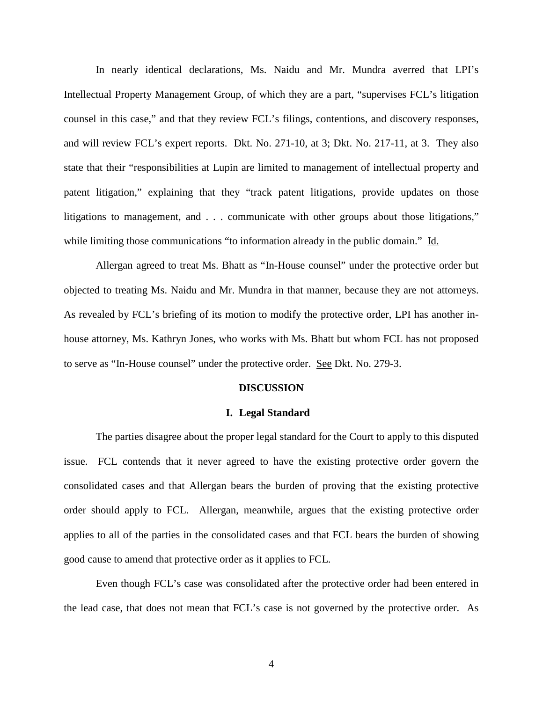In nearly identical declarations, Ms. Naidu and Mr. Mundra averred that LPI's Intellectual Property Management Group, of which they are a part, "supervises FCL's litigation counsel in this case," and that they review FCL's filings, contentions, and discovery responses, and will review FCL's expert reports. Dkt. No. 271-10, at 3; Dkt. No. 217-11, at 3. They also state that their "responsibilities at Lupin are limited to management of intellectual property and patent litigation," explaining that they "track patent litigations, provide updates on those litigations to management, and . . . communicate with other groups about those litigations," while limiting those communications "to information already in the public domain." Id.

Allergan agreed to treat Ms. Bhatt as "In-House counsel" under the protective order but objected to treating Ms. Naidu and Mr. Mundra in that manner, because they are not attorneys. As revealed by FCL's briefing of its motion to modify the protective order, LPI has another inhouse attorney, Ms. Kathryn Jones, who works with Ms. Bhatt but whom FCL has not proposed to serve as "In-House counsel" under the protective order. See Dkt. No. 279-3.

## **DISCUSSION**

#### **I. Legal Standard**

The parties disagree about the proper legal standard for the Court to apply to this disputed issue. FCL contends that it never agreed to have the existing protective order govern the consolidated cases and that Allergan bears the burden of proving that the existing protective order should apply to FCL. Allergan, meanwhile, argues that the existing protective order applies to all of the parties in the consolidated cases and that FCL bears the burden of showing good cause to amend that protective order as it applies to FCL.

Even though FCL's case was consolidated after the protective order had been entered in the lead case, that does not mean that FCL's case is not governed by the protective order. As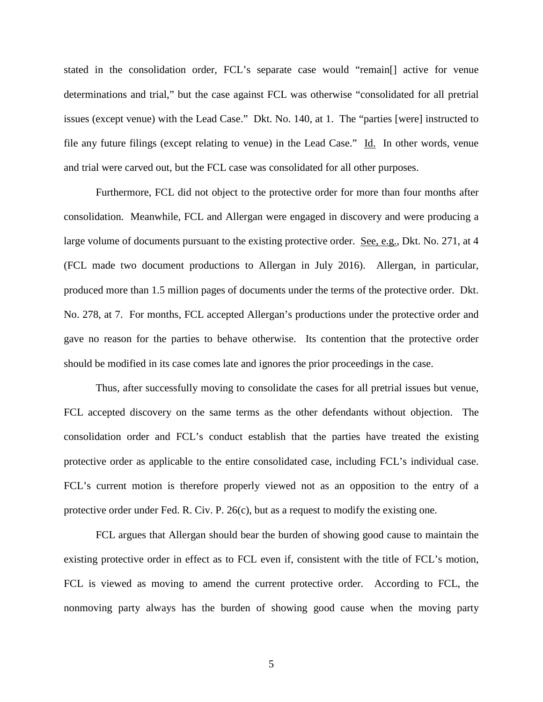stated in the consolidation order, FCL's separate case would "remain[] active for venue determinations and trial," but the case against FCL was otherwise "consolidated for all pretrial issues (except venue) with the Lead Case." Dkt. No. 140, at 1. The "parties [were] instructed to file any future filings (except relating to venue) in the Lead Case." Id. In other words, venue and trial were carved out, but the FCL case was consolidated for all other purposes.

Furthermore, FCL did not object to the protective order for more than four months after consolidation. Meanwhile, FCL and Allergan were engaged in discovery and were producing a large volume of documents pursuant to the existing protective order. See, e.g., Dkt. No. 271, at 4 (FCL made two document productions to Allergan in July 2016). Allergan, in particular, produced more than 1.5 million pages of documents under the terms of the protective order. Dkt. No. 278, at 7. For months, FCL accepted Allergan's productions under the protective order and gave no reason for the parties to behave otherwise. Its contention that the protective order should be modified in its case comes late and ignores the prior proceedings in the case.

Thus, after successfully moving to consolidate the cases for all pretrial issues but venue, FCL accepted discovery on the same terms as the other defendants without objection. The consolidation order and FCL's conduct establish that the parties have treated the existing protective order as applicable to the entire consolidated case, including FCL's individual case. FCL's current motion is therefore properly viewed not as an opposition to the entry of a protective order under Fed. R. Civ. P. 26(c), but as a request to modify the existing one.

FCL argues that Allergan should bear the burden of showing good cause to maintain the existing protective order in effect as to FCL even if, consistent with the title of FCL's motion, FCL is viewed as moving to amend the current protective order. According to FCL, the nonmoving party always has the burden of showing good cause when the moving party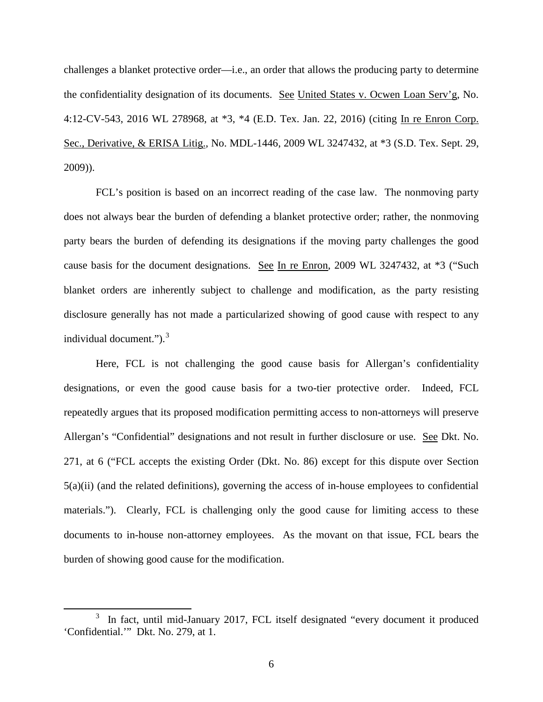challenges a blanket protective order—i.e., an order that allows the producing party to determine the confidentiality designation of its documents. See United States v. Ocwen Loan Serv'g, No. 4:12-CV-543, 2016 WL 278968, at \*3, \*4 (E.D. Tex. Jan. 22, 2016) (citing In re Enron Corp. Sec., Derivative, & ERISA Litig., No. MDL-1446, 2009 WL 3247432, at \*3 (S.D. Tex. Sept. 29, 2009)).

FCL's position is based on an incorrect reading of the case law. The nonmoving party does not always bear the burden of defending a blanket protective order; rather, the nonmoving party bears the burden of defending its designations if the moving party challenges the good cause basis for the document designations. See In re Enron, 2009 WL 3247432, at \*3 ("Such blanket orders are inherently subject to challenge and modification, as the party resisting disclosure generally has not made a particularized showing of good cause with respect to any individual document." $)$ .<sup>[3](#page-5-0)</sup>

Here, FCL is not challenging the good cause basis for Allergan's confidentiality designations, or even the good cause basis for a two-tier protective order. Indeed, FCL repeatedly argues that its proposed modification permitting access to non-attorneys will preserve Allergan's "Confidential" designations and not result in further disclosure or use. See Dkt. No. 271, at 6 ("FCL accepts the existing Order (Dkt. No. 86) except for this dispute over Section  $5(a)(ii)$  (and the related definitions), governing the access of in-house employees to confidential materials."). Clearly, FCL is challenging only the good cause for limiting access to these documents to in-house non-attorney employees. As the movant on that issue, FCL bears the burden of showing good cause for the modification.

 $\overline{a}$ 

<span id="page-5-0"></span><sup>3</sup> In fact, until mid-January 2017, FCL itself designated "every document it produced 'Confidential.'" Dkt. No. 279, at 1.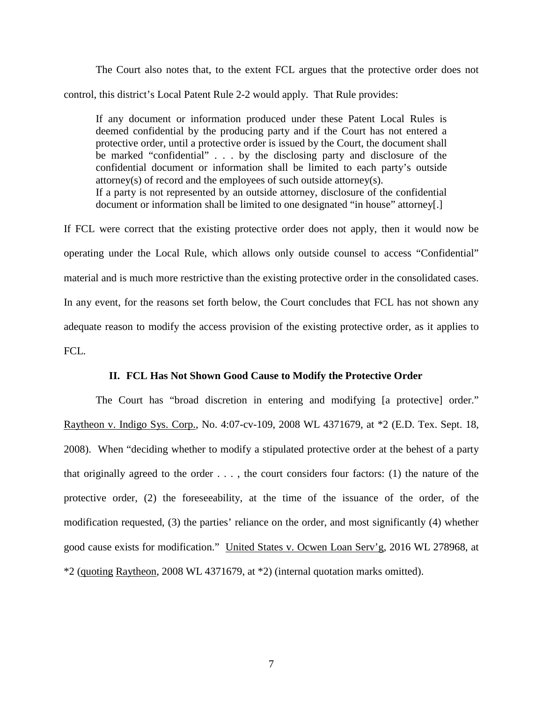The Court also notes that, to the extent FCL argues that the protective order does not control, this district's Local Patent Rule 2-2 would apply. That Rule provides:

If any document or information produced under these Patent Local Rules is deemed confidential by the producing party and if the Court has not entered a protective order, until a protective order is issued by the Court, the document shall be marked "confidential" . . . by the disclosing party and disclosure of the confidential document or information shall be limited to each party's outside attorney(s) of record and the employees of such outside attorney(s). If a party is not represented by an outside attorney, disclosure of the confidential document or information shall be limited to one designated "in house" attorney[.]

If FCL were correct that the existing protective order does not apply, then it would now be operating under the Local Rule, which allows only outside counsel to access "Confidential" material and is much more restrictive than the existing protective order in the consolidated cases. In any event, for the reasons set forth below, the Court concludes that FCL has not shown any adequate reason to modify the access provision of the existing protective order, as it applies to FCL.

## **II. FCL Has Not Shown Good Cause to Modify the Protective Order**

The Court has "broad discretion in entering and modifying [a protective] order." Raytheon v. Indigo Sys. Corp., No. 4:07-cv-109, 2008 WL 4371679, at \*2 (E.D. Tex. Sept. 18, 2008). When "deciding whether to modify a stipulated protective order at the behest of a party that originally agreed to the order  $\dots$ , the court considers four factors: (1) the nature of the protective order, (2) the foreseeability, at the time of the issuance of the order, of the modification requested, (3) the parties' reliance on the order, and most significantly (4) whether good cause exists for modification." United States v. Ocwen Loan Serv'g, 2016 WL 278968, at \*2 (quoting Raytheon, 2008 WL 4371679, at \*2) (internal quotation marks omitted).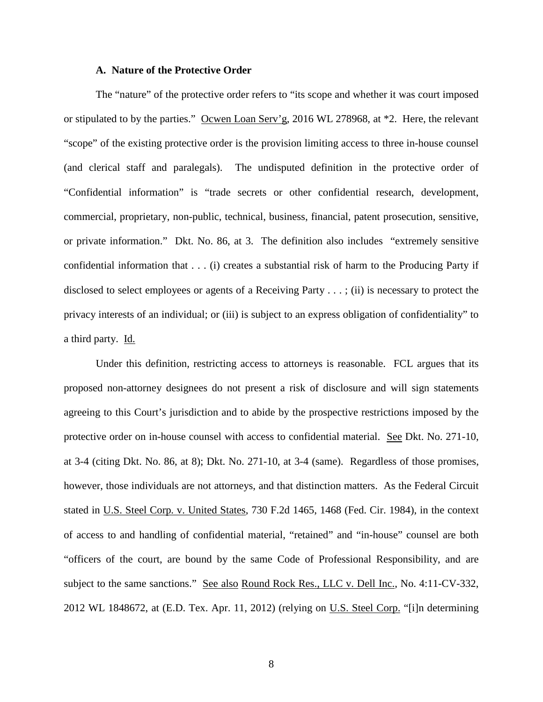## **A. Nature of the Protective Order**

The "nature" of the protective order refers to "its scope and whether it was court imposed or stipulated to by the parties." Ocwen Loan Serv'g, 2016 WL 278968, at \*2. Here, the relevant "scope" of the existing protective order is the provision limiting access to three in-house counsel (and clerical staff and paralegals). The undisputed definition in the protective order of "Confidential information" is "trade secrets or other confidential research, development, commercial, proprietary, non-public, technical, business, financial, patent prosecution, sensitive, or private information." Dkt. No. 86, at 3. The definition also includes "extremely sensitive confidential information that . . . (i) creates a substantial risk of harm to the Producing Party if disclosed to select employees or agents of a Receiving Party . . . ; (ii) is necessary to protect the privacy interests of an individual; or (iii) is subject to an express obligation of confidentiality" to a third party. Id.

Under this definition, restricting access to attorneys is reasonable. FCL argues that its proposed non-attorney designees do not present a risk of disclosure and will sign statements agreeing to this Court's jurisdiction and to abide by the prospective restrictions imposed by the protective order on in-house counsel with access to confidential material. See Dkt. No. 271-10, at 3-4 (citing Dkt. No. 86, at 8); Dkt. No. 271-10, at 3-4 (same). Regardless of those promises, however, those individuals are not attorneys, and that distinction matters. As the Federal Circuit stated in U.S. Steel Corp. v. United States, 730 F.2d 1465, 1468 (Fed. Cir. 1984), in the context of access to and handling of confidential material, "retained" and "in-house" counsel are both "officers of the court, are bound by the same Code of Professional Responsibility, and are subject to the same sanctions." See also Round Rock Res., LLC v. Dell Inc., No. 4:11-CV-332, 2012 WL 1848672, at (E.D. Tex. Apr. 11, 2012) (relying on U.S. Steel Corp. "[i]n determining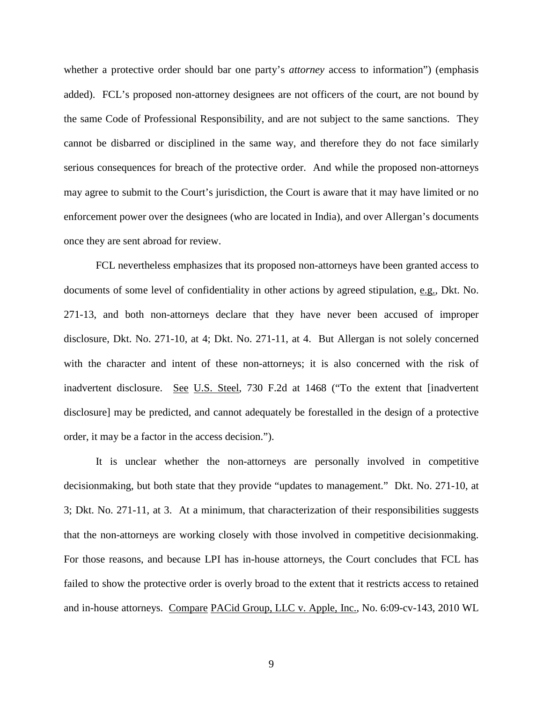whether a protective order should bar one party's *attorney* access to information") (emphasis added). FCL's proposed non-attorney designees are not officers of the court, are not bound by the same Code of Professional Responsibility, and are not subject to the same sanctions. They cannot be disbarred or disciplined in the same way, and therefore they do not face similarly serious consequences for breach of the protective order. And while the proposed non-attorneys may agree to submit to the Court's jurisdiction, the Court is aware that it may have limited or no enforcement power over the designees (who are located in India), and over Allergan's documents once they are sent abroad for review.

FCL nevertheless emphasizes that its proposed non-attorneys have been granted access to documents of some level of confidentiality in other actions by agreed stipulation, e.g., Dkt. No. 271-13, and both non-attorneys declare that they have never been accused of improper disclosure, Dkt. No. 271-10, at 4; Dkt. No. 271-11, at 4. But Allergan is not solely concerned with the character and intent of these non-attorneys; it is also concerned with the risk of inadvertent disclosure. See U.S. Steel, 730 F.2d at 1468 ("To the extent that [inadvertent disclosure] may be predicted, and cannot adequately be forestalled in the design of a protective order, it may be a factor in the access decision.").

It is unclear whether the non-attorneys are personally involved in competitive decisionmaking, but both state that they provide "updates to management." Dkt. No. 271-10, at 3; Dkt. No. 271-11, at 3. At a minimum, that characterization of their responsibilities suggests that the non-attorneys are working closely with those involved in competitive decisionmaking. For those reasons, and because LPI has in-house attorneys, the Court concludes that FCL has failed to show the protective order is overly broad to the extent that it restricts access to retained and in-house attorneys. Compare PACid Group, LLC v. Apple, Inc., No. 6:09-cv-143, 2010 WL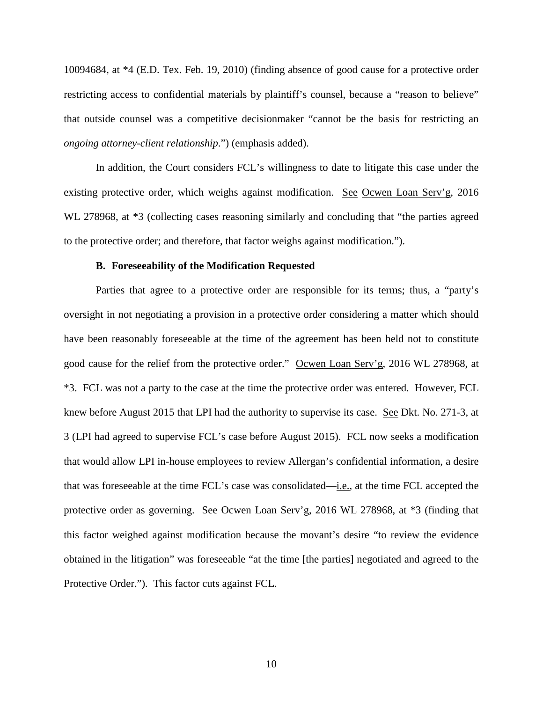10094684, at \*4 (E.D. Tex. Feb. 19, 2010) (finding absence of good cause for a protective order restricting access to confidential materials by plaintiff's counsel, because a "reason to believe" that outside counsel was a competitive decisionmaker "cannot be the basis for restricting an *ongoing attorney-client relationship*.") (emphasis added).

In addition, the Court considers FCL's willingness to date to litigate this case under the existing protective order, which weighs against modification. See Ocwen Loan Serv'g, 2016 WL 278968, at  $*3$  (collecting cases reasoning similarly and concluding that "the parties agreed to the protective order; and therefore, that factor weighs against modification.").

### **B. Foreseeability of the Modification Requested**

Parties that agree to a protective order are responsible for its terms; thus, a "party's oversight in not negotiating a provision in a protective order considering a matter which should have been reasonably foreseeable at the time of the agreement has been held not to constitute good cause for the relief from the protective order." Ocwen Loan Serv'g, 2016 WL 278968, at \*3. FCL was not a party to the case at the time the protective order was entered. However, FCL knew before August 2015 that LPI had the authority to supervise its case. See Dkt. No. 271-3, at 3 (LPI had agreed to supervise FCL's case before August 2015). FCL now seeks a modification that would allow LPI in-house employees to review Allergan's confidential information, a desire that was foreseeable at the time FCL's case was consolidated—i.e., at the time FCL accepted the protective order as governing. See Ocwen Loan Serv'g, 2016 WL 278968, at \*3 (finding that this factor weighed against modification because the movant's desire "to review the evidence obtained in the litigation" was foreseeable "at the time [the parties] negotiated and agreed to the Protective Order."). This factor cuts against FCL.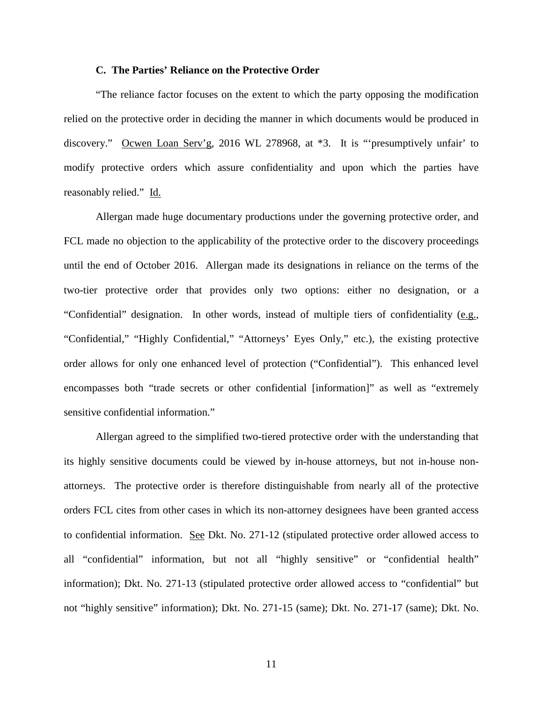## **C. The Parties' Reliance on the Protective Order**

"The reliance factor focuses on the extent to which the party opposing the modification relied on the protective order in deciding the manner in which documents would be produced in discovery." Ocwen Loan Serv'g, 2016 WL 278968, at \*3. It is "'presumptively unfair' to modify protective orders which assure confidentiality and upon which the parties have reasonably relied." Id.

Allergan made huge documentary productions under the governing protective order, and FCL made no objection to the applicability of the protective order to the discovery proceedings until the end of October 2016. Allergan made its designations in reliance on the terms of the two-tier protective order that provides only two options: either no designation, or a "Confidential" designation. In other words, instead of multiple tiers of confidentiality (e.g., "Confidential," "Highly Confidential," "Attorneys' Eyes Only," etc.), the existing protective order allows for only one enhanced level of protection ("Confidential"). This enhanced level encompasses both "trade secrets or other confidential [information]" as well as "extremely sensitive confidential information."

Allergan agreed to the simplified two-tiered protective order with the understanding that its highly sensitive documents could be viewed by in-house attorneys, but not in-house nonattorneys. The protective order is therefore distinguishable from nearly all of the protective orders FCL cites from other cases in which its non-attorney designees have been granted access to confidential information. See Dkt. No. 271-12 (stipulated protective order allowed access to all "confidential" information, but not all "highly sensitive" or "confidential health" information); Dkt. No. 271-13 (stipulated protective order allowed access to "confidential" but not "highly sensitive" information); Dkt. No. 271-15 (same); Dkt. No. 271-17 (same); Dkt. No.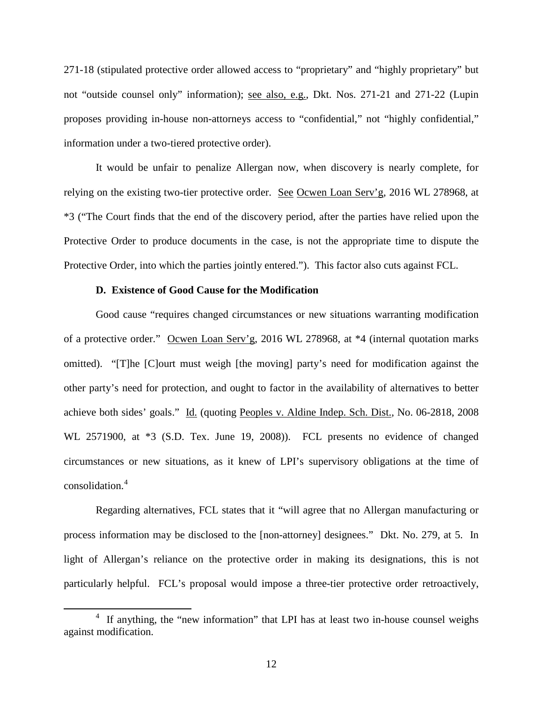271-18 (stipulated protective order allowed access to "proprietary" and "highly proprietary" but not "outside counsel only" information); see also, e.g., Dkt. Nos. 271-21 and 271-22 (Lupin proposes providing in-house non-attorneys access to "confidential," not "highly confidential," information under a two-tiered protective order).

It would be unfair to penalize Allergan now, when discovery is nearly complete, for relying on the existing two-tier protective order. See Ocwen Loan Serv'g, 2016 WL 278968, at \*3 ("The Court finds that the end of the discovery period, after the parties have relied upon the Protective Order to produce documents in the case, is not the appropriate time to dispute the Protective Order, into which the parties jointly entered."). This factor also cuts against FCL.

## **D. Existence of Good Cause for the Modification**

 $\overline{a}$ 

Good cause "requires changed circumstances or new situations warranting modification of a protective order." Ocwen Loan Serv'g, 2016 WL 278968, at \*4 (internal quotation marks omitted). "[T]he [C]ourt must weigh [the moving] party's need for modification against the other party's need for protection, and ought to factor in the availability of alternatives to better achieve both sides' goals." Id. (quoting Peoples v. Aldine Indep. Sch. Dist., No. 06-2818, 2008 WL 2571900, at \*3 (S.D. Tex. June 19, 2008)). FCL presents no evidence of changed circumstances or new situations, as it knew of LPI's supervisory obligations at the time of consolidation.[4](#page-11-0)

Regarding alternatives, FCL states that it "will agree that no Allergan manufacturing or process information may be disclosed to the [non-attorney] designees." Dkt. No. 279, at 5. In light of Allergan's reliance on the protective order in making its designations, this is not particularly helpful. FCL's proposal would impose a three-tier protective order retroactively,

<span id="page-11-0"></span><sup>&</sup>lt;sup>4</sup> If anything, the "new information" that LPI has at least two in-house counsel weighs against modification.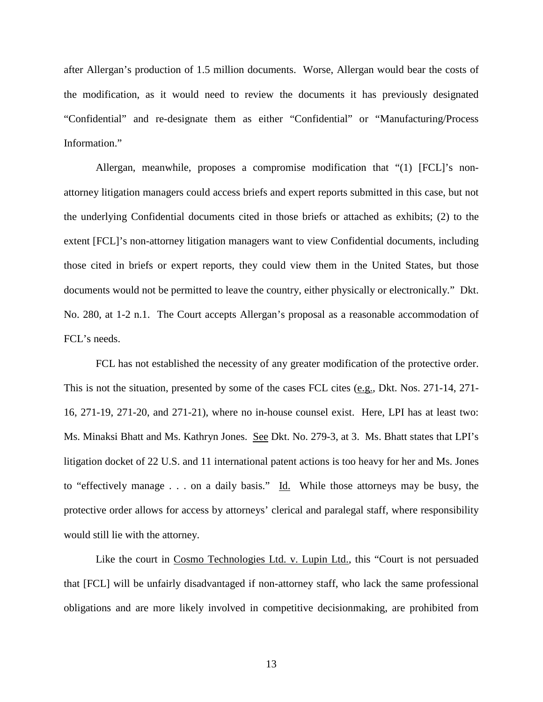after Allergan's production of 1.5 million documents. Worse, Allergan would bear the costs of the modification, as it would need to review the documents it has previously designated "Confidential" and re-designate them as either "Confidential" or "Manufacturing/Process Information."

Allergan, meanwhile, proposes a compromise modification that "(1) [FCL]'s nonattorney litigation managers could access briefs and expert reports submitted in this case, but not the underlying Confidential documents cited in those briefs or attached as exhibits; (2) to the extent [FCL]'s non-attorney litigation managers want to view Confidential documents, including those cited in briefs or expert reports, they could view them in the United States, but those documents would not be permitted to leave the country, either physically or electronically." Dkt. No. 280, at 1-2 n.1. The Court accepts Allergan's proposal as a reasonable accommodation of FCL's needs.

FCL has not established the necessity of any greater modification of the protective order. This is not the situation, presented by some of the cases FCL cites  $(e.g., \text{Dkt. Nos. } 271-14, 271-$ 16, 271-19, 271-20, and 271-21), where no in-house counsel exist. Here, LPI has at least two: Ms. Minaksi Bhatt and Ms. Kathryn Jones. See Dkt. No. 279-3, at 3. Ms. Bhatt states that LPI's litigation docket of 22 U.S. and 11 international patent actions is too heavy for her and Ms. Jones to "effectively manage  $\ldots$  on a daily basis." Id. While those attorneys may be busy, the protective order allows for access by attorneys' clerical and paralegal staff, where responsibility would still lie with the attorney.

Like the court in Cosmo Technologies Ltd. v. Lupin Ltd., this "Court is not persuaded that [FCL] will be unfairly disadvantaged if non-attorney staff, who lack the same professional obligations and are more likely involved in competitive decisionmaking, are prohibited from

13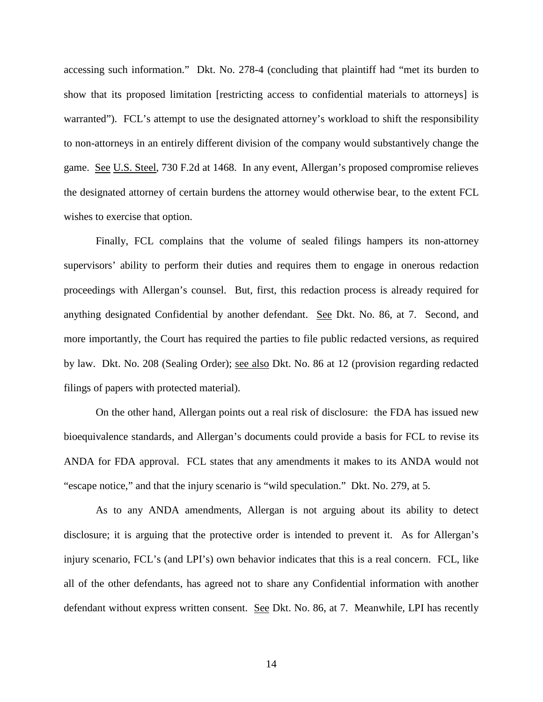accessing such information." Dkt. No. 278-4 (concluding that plaintiff had "met its burden to show that its proposed limitation [restricting access to confidential materials to attorneys] is warranted"). FCL's attempt to use the designated attorney's workload to shift the responsibility to non-attorneys in an entirely different division of the company would substantively change the game. See U.S. Steel, 730 F.2d at 1468. In any event, Allergan's proposed compromise relieves the designated attorney of certain burdens the attorney would otherwise bear, to the extent FCL wishes to exercise that option.

Finally, FCL complains that the volume of sealed filings hampers its non-attorney supervisors' ability to perform their duties and requires them to engage in onerous redaction proceedings with Allergan's counsel. But, first, this redaction process is already required for anything designated Confidential by another defendant. See Dkt. No. 86, at 7. Second, and more importantly, the Court has required the parties to file public redacted versions, as required by law. Dkt. No. 208 (Sealing Order); see also Dkt. No. 86 at 12 (provision regarding redacted filings of papers with protected material).

On the other hand, Allergan points out a real risk of disclosure: the FDA has issued new bioequivalence standards, and Allergan's documents could provide a basis for FCL to revise its ANDA for FDA approval. FCL states that any amendments it makes to its ANDA would not "escape notice," and that the injury scenario is "wild speculation." Dkt. No. 279, at 5.

As to any ANDA amendments, Allergan is not arguing about its ability to detect disclosure; it is arguing that the protective order is intended to prevent it. As for Allergan's injury scenario, FCL's (and LPI's) own behavior indicates that this is a real concern. FCL, like all of the other defendants, has agreed not to share any Confidential information with another defendant without express written consent. See Dkt. No. 86, at 7. Meanwhile, LPI has recently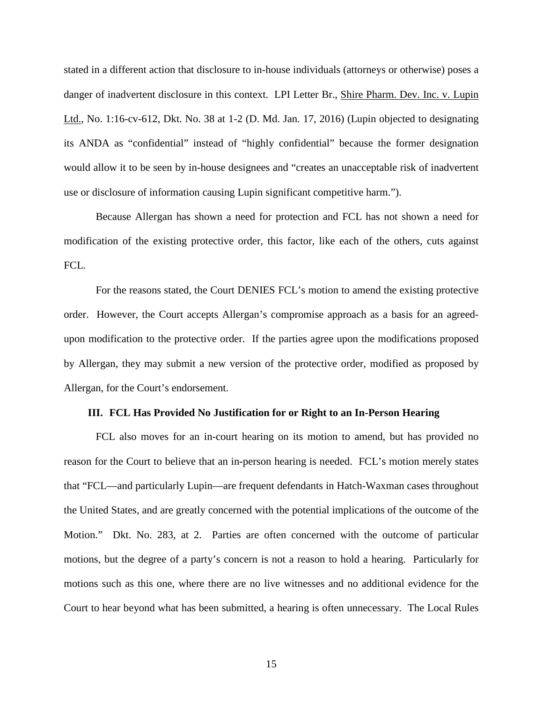stated in a different action that disclosure to in-house individuals (attorneys or otherwise) poses a danger of inadvertent disclosure in this context. LPI Letter Br., Shire Pharm. Dev. Inc. v. Lupin Ltd., No. 1:16-cv-612, Dkt. No. 38 at 1-2 (D. Md. Jan. 17, 2016) (Lupin objected to designating its ANDA as "confidential" instead of "highly confidential" because the former designation would allow it to be seen by in-house designees and "creates an unacceptable risk of inadvertent use or disclosure of information causing Lupin significant competitive harm.").

Because Allergan has shown a need for protection and FCL has not shown a need for modification of the existing protective order, this factor, like each of the others, cuts against FCL.

For the reasons stated, the Court DENIES FCL's motion to amend the existing protective order. However, the Court accepts Allergan's compromise approach as a basis for an agreedupon modification to the protective order. If the parties agree upon the modifications proposed by Allergan, they may submit a new version of the protective order, modified as proposed by Allergan, for the Court's endorsement.

### **III. FCL Has Provided No Justification for or Right to an In-Person Hearing**

FCL also moves for an in-court hearing on its motion to amend, but has provided no reason for the Court to believe that an in-person hearing is needed. FCL's motion merely states that "FCL—and particularly Lupin—are frequent defendants in Hatch-Waxman cases throughout the United States, and are greatly concerned with the potential implications of the outcome of the Motion." Dkt. No. 283, at 2. Parties are often concerned with the outcome of particular motions, but the degree of a party's concern is not a reason to hold a hearing. Particularly for motions such as this one, where there are no live witnesses and no additional evidence for the Court to hear beyond what has been submitted, a hearing is often unnecessary. The Local Rules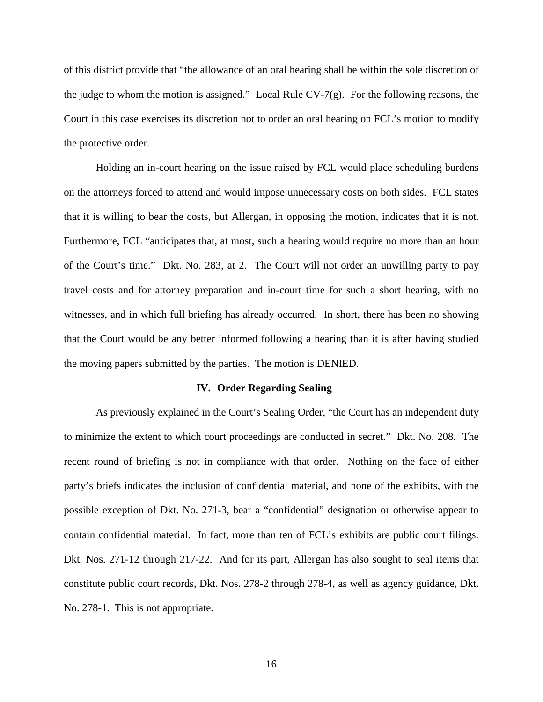of this district provide that "the allowance of an oral hearing shall be within the sole discretion of the judge to whom the motion is assigned." Local Rule CV-7 $(g)$ . For the following reasons, the Court in this case exercises its discretion not to order an oral hearing on FCL's motion to modify the protective order.

Holding an in-court hearing on the issue raised by FCL would place scheduling burdens on the attorneys forced to attend and would impose unnecessary costs on both sides. FCL states that it is willing to bear the costs, but Allergan, in opposing the motion, indicates that it is not. Furthermore, FCL "anticipates that, at most, such a hearing would require no more than an hour of the Court's time." Dkt. No. 283, at 2. The Court will not order an unwilling party to pay travel costs and for attorney preparation and in-court time for such a short hearing, with no witnesses, and in which full briefing has already occurred. In short, there has been no showing that the Court would be any better informed following a hearing than it is after having studied the moving papers submitted by the parties. The motion is DENIED.

#### **IV. Order Regarding Sealing**

As previously explained in the Court's Sealing Order, "the Court has an independent duty to minimize the extent to which court proceedings are conducted in secret." Dkt. No. 208. The recent round of briefing is not in compliance with that order. Nothing on the face of either party's briefs indicates the inclusion of confidential material, and none of the exhibits, with the possible exception of Dkt. No. 271-3, bear a "confidential" designation or otherwise appear to contain confidential material. In fact, more than ten of FCL's exhibits are public court filings. Dkt. Nos. 271-12 through 217-22. And for its part, Allergan has also sought to seal items that constitute public court records, Dkt. Nos. 278-2 through 278-4, as well as agency guidance, Dkt. No. 278-1. This is not appropriate.